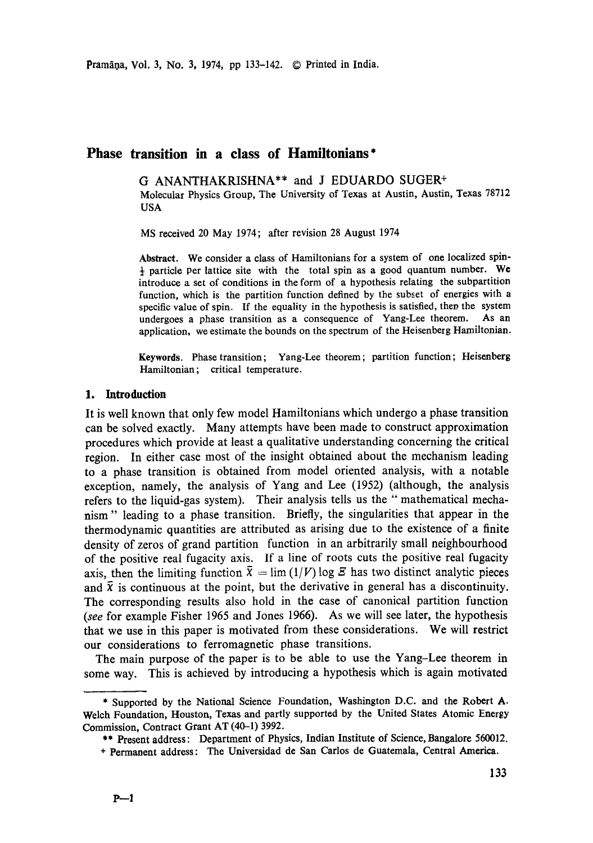# **Phase transition in a class of Hamiltonians\***

G ANANTHAKRISHNA\*\* and J EDUARDO SUGER + Molecular Physics Group, The University of Texas at Austin, Austin, Texas 78712 USA

MS received 20 May 1974; after revision 28 August 1974

**Abstract.** We consider a class of Hamiltonians for a system of one localized spin-  $\frac{1}{2}$  particle per lattice site with the total spin as a good quantum number. We introduce a set of conditions in the form of a hypothesis relating the subpartifion function, which is the partition function defined by the subset of energies with a specific value of spin. If the equality in the hypothesis is satisfied, then the system undergoes a phase transition as a consequence of Yang-Lee theorem. As an application, we estimate the bounds on the spectrum of the Heisenberg Hamiltonian.

**Keywords.** Phase transition; Yang-Lee theorem ; partition function; Heisenberg Hamiltonian; critical temperature.

#### 1. **Introduction**

It is well known that only few model Hamiltonians which undergo a phase transition can be solved exactly. Many attempts have been made to construct approximation procedures which provide at least a qualitative understanding concerning the critical region. In either case most of the insight obtained about the mechanism leading to a phase transition is obtained from model oriented analysis, with a notable exception, namely, the analysis of Yang and Lee (1952) (although, the analysis refers to the liquid-gas system). Their analysis tells us the "mathematical mechanism" leading to a phase transition. Briefly, the singularities that appear in the thermodynamic quantities are attributed as arising due to the existence of a finite density of zeros of grand partition function in an arbitrarily small neighbourhood of the positive real fugacity axis. If a line of roots cuts the positive real fugacity axis, then the limiting function  $\bar{x} = \lim (1/V) \log \mathcal{E}$  has two distinct analytic pieces and  $\bar{x}$  is continuous at the point, but the derivative in general has a discontinuity. The corresponding results also hold in the case of canonical partition function *(see* for example Fisher 1965 and Jones 1966). As we will see later, the hypothesis that we use in this paper is motivated from these considerations. We will restrict our considerations to ferromagnetic phase transitions.

The main purpose of the paper is to be able to use the Yang-Lee theorem in some way. This is achieved by introducing a hypothesis which is again motivated

<sup>\*</sup> Supported by the National Science Foundation, Washington D.C. and the Robert A. Welch Foundation, Houston, Texas and partly supported by the United States Atomic Energy Commission, Contract Grant AT (40-1) 3992.

<sup>\*\*</sup> Present address: Department of Physics, Indian Institute of Science, Bangalore 560012.

<sup>+</sup> Permanent address: The Universidad de San Carlos de Guatemala, Central America.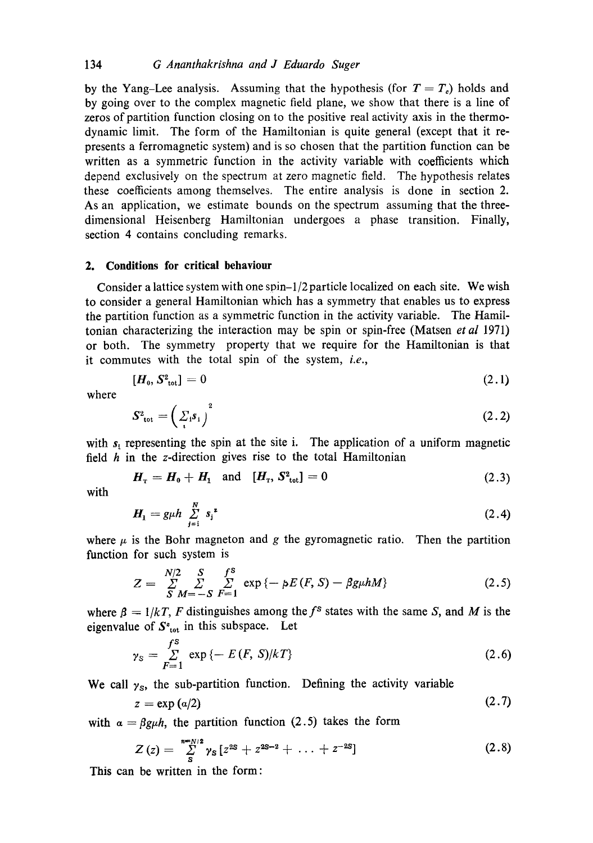by the Yang–Lee analysis. Assuming that the hypothesis (for  $T = T<sub>c</sub>$ ) holds and by going over to the complex magnetic field plane, we show that there is a line of zeros of partition function closing on to the positive real activity axis in the thermodynamic limit. The form of the Hamiltonian is quite general (except that it represents a ferromagnetic system) and is so chosen that the partition function can be written as a symmetric function in the activity variable with coefficients which depend exclusively on the spectrum at zero magnetic field. The hypothesis relates these coefficients among themselves. The entire analysis is done in section 2. As an application, we estimate bounds on the spectrum assuming that the threedimensional Heisenberg Hamiltonian undergoes a phase transition. Finally, section 4 contains concluding remarks.

### **2. Conditions for critical behavionr**

Consider a lattice system with one  $\sin^{-1/2}$  particle localized on each site. We wish to consider a general Hamiltonian which has a symmetry that enables us to express the partition function as a symmetric function in the activity variable. The Hamiltonian characterizing the interaction may be spin or spin-free (Matsen *et al* 1971) or both. The symmetry property that we require for the Hamiltonian is that it commutes with the total spin of the system, *i.e.,* 

$$
[\boldsymbol{H}_0, \boldsymbol{S}_{\rm tot}^2] = 0 \tag{2.1}
$$

where

$$
S^2_{\text{tot}} = \left(\sum_i s_i\right)^2 \tag{2.2}
$$

with  $s<sub>i</sub>$  representing the spin at the site i. The application of a uniform magnetic field  $h$  in the z-direction gives rise to the total Hamiltonian

$$
H_{\rm T} = H_{\rm 0} + H_{\rm 1} \quad \text{and} \quad [H_{\rm T}, S^2_{\rm tot}] = 0 \tag{2.3}
$$

with

$$
H_1 = g\mu h \sum_{j=1}^{N} s_j^{2}
$$
 (2.4)

where  $\mu$  is the Bohr magneton and g the gyromagnetic ratio. Then the partition function for such system is

$$
Z = \sum_{S}^{N/2} \sum_{M=-S}^{S} \sum_{F=1}^{f^{S}} \exp \{-\rho E(F, S) - \beta g \mu h M\}
$$
 (2.5)

where  $\beta = 1/kT$ , F distinguishes among the f<sup>s</sup> states with the same S, and M is the eigenvalue of  $S_{\text{tot}}^*$  in this subspace. Let

$$
\gamma_{\rm S} = \sum_{F=1}^{f^{\rm S}} \exp \{-E(F, S)/kT\} \tag{2.6}
$$

We call  $\gamma_s$ , the sub-partition function. Defining the activity variable

$$
z = \exp(a/2) \tag{2.7}
$$

with  $\alpha = \beta g\mu h$ , the partition function (2.5) takes the form

$$
Z(z) = \sum_{s}^{n=N/2} \gamma_{s} \left[z^{2s} + z^{2s-2} + \ldots + z^{-2s}\right]
$$
 (2.8)

This can be written in the form: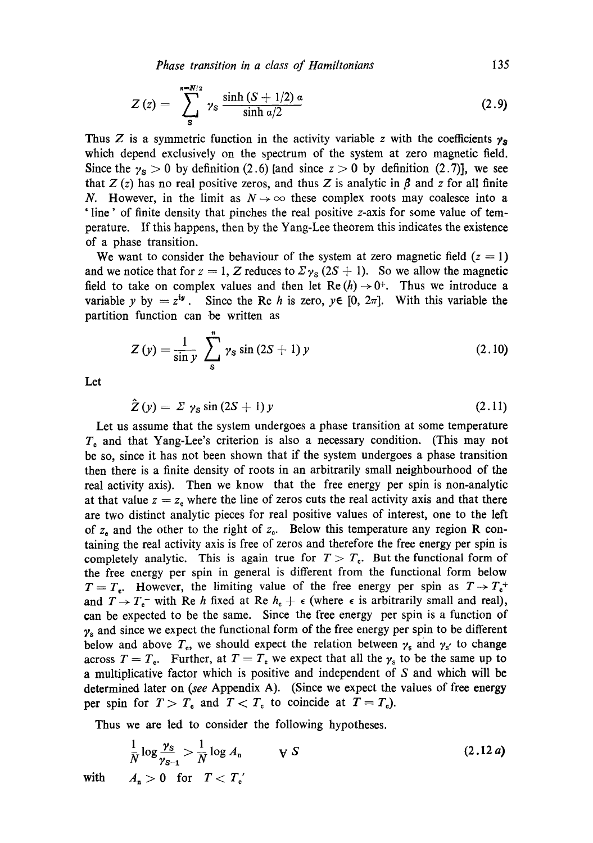*Phase transition in a class of Hamiltonians* 135

$$
Z(z) = \sum_{s}^{n=N/2} \gamma_{s} \frac{\sinh (S + 1/2) \alpha}{\sinh \alpha/2}
$$
 (2.9)

Thus Z is a symmetric function in the activity variable z with the coefficients  $\gamma_s$ which depend exclusively on the spectrum of the system at zero magnetic field. Since the  $\gamma_s > 0$  by definition (2.6) [and since  $z > 0$  by definition (2.7)], we see that  $Z(z)$  has no real positive zeros, and thus Z is analytic in  $\beta$  and z for all finite N. However, in the limit as  $N \rightarrow \infty$  these complex roots may coalesce into a ' line' of finite density that pinches the real positive z-axis for some value of temperature. If this happens, then by the Yang-Lee theorem this indicates the existence of a phase transition.

We want to consider the behaviour of the system at zero magnetic field  $(z = 1)$ and we notice that for  $z = 1$ , Z reduces to  $\Sigma \gamma_s (2S + 1)$ . So we allow the magnetic field to take on complex values and then let  $\text{Re}(h) \rightarrow 0^+$ . Thus we introduce a variable y by  $= z^{iy}$ . Since the Re h is zero,  $y \in [0, 2\pi]$ . With this variable the partition function can be written as

$$
Z(y) = \frac{1}{\sin y} \sum_{s}^{n} \gamma_{s} \sin (2S + 1) y
$$
 (2.10)

Let

$$
\tilde{Z}(y) = \Sigma \gamma_{\rm s} \sin(2S+1) y \tag{2.11}
$$

Let us assume that the system undergoes a phase transition at some temperature  $T<sub>c</sub>$  and that Yang-Lee's criterion is also a necessary condition. (This may not be so, since it has not been shown that if the system undergoes a phase transition then there is a finite density of roots in an arbitrarily small neighbourhood of the real activity axis). Then we know that the free energy per spin is non-analytic at that value  $z = z<sub>e</sub>$  where the line of zeros cuts the real activity axis and that there are two distinct analytic pieces for real positive values of interest, one to the left of  $z<sub>e</sub>$  and the other to the right of  $z<sub>e</sub>$ . Below this temperature any region R containing the real activity axis is free of zeros and therefore the free energy per spin is completely analytic. This is again true for  $T > T_c$ . But the functional form of the free energy per spin in general is different from the functional form below  $T = T_e$ . However, the limiting value of the free energy per spin as  $T \rightarrow T_e^+$ and  $T \rightarrow T_c^-$  with Re h fixed at Re  $h_c + \epsilon$  (where  $\epsilon$  is arbitrarily small and real), can be expected to be the same. Since the free energy per spin is a function of  $y_s$  and since we expect the functional form of the free energy per spin to be different below and above  $T_e$ , we should expect the relation between  $\gamma_s$  and  $\gamma_{s'}$  to change across  $T = T<sub>0</sub>$ . Further, at  $T = T<sub>0</sub>$  we expect that all the  $\gamma<sub>s</sub>$  to be the same up to a multiplicative factor which is positive and independent of S and which will be determined later on *(see* Appendix A). (Since we expect the values of free energy per spin for  $T > T_0$  and  $T < T_0$  to coincide at  $T = T_0$ .

Thus we are led to consider the following hypotheses.

$$
\frac{1}{N}\log\frac{\gamma_S}{\gamma_{S-1}} > \frac{1}{N}\log A_n \qquad \qquad \forall S \tag{2.12 a}
$$
\n
$$
\text{with} \qquad A_n > 0 \quad \text{for} \quad T < T'_n
$$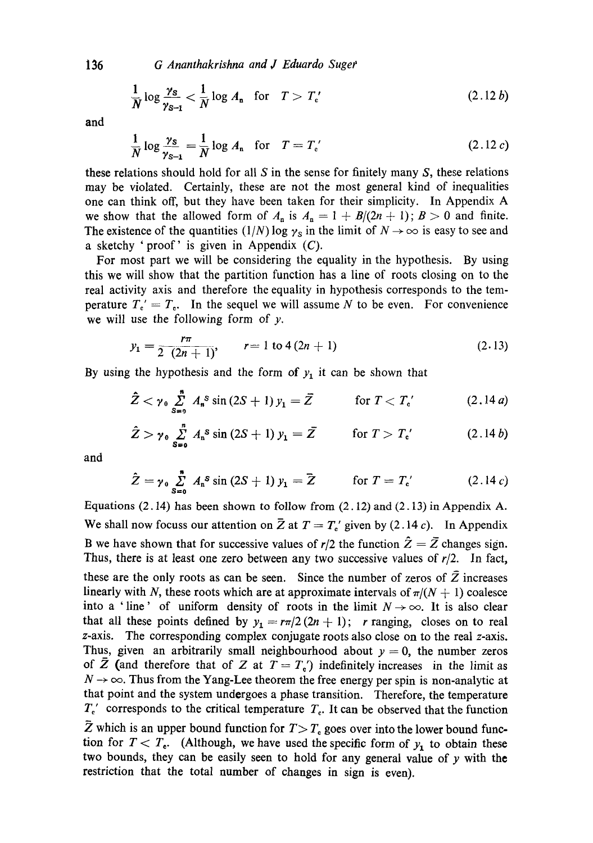*G Ananthakrishna and J Eduardo Suget'* 

$$
\frac{1}{N}\log\frac{\gamma_{\mathbf{S}}}{\gamma_{\mathbf{S}-1}} < \frac{1}{N}\log A_{\mathbf{n}} \quad \text{for} \quad T > T_c' \tag{2.12b}
$$

**and** 

$$
\frac{1}{N}\log\frac{\gamma_{\mathbf{S}}}{\gamma_{\mathbf{S}-\mathbf{1}}}=\frac{1}{N}\log A_{\mathbf{n}}\quad\text{for}\quad T=T'_{c'}\tag{2.12 c}
$$

these relations should hold for all  $S$  in the sense for finitely many  $S$ , these relations may be violated. Certainly, these are not the most general kind of inequalities one can think off, but they have been taken for their simplicity. In Appendix A we show that the allowed form of  $A_n$  is  $A_n = 1 + B/(2n + 1)$ ;  $B > 0$  and finite. The existence of the quantities  $(1/N) \log \gamma_s$  in the limit of  $N \to \infty$  is easy to see and a sketchy 'proof' is given in Appendix *(C).* 

For most part we will be considering the equality in the hypothesis. By using this we will show that the partition function has a line of roots closing on to the real activity axis and therefore the equality in hypothesis corresponds to the temperature  $T_c' = T_c$ . In the sequel we will assume N to be even. For convenience we will use the following form of  $y$ .

$$
y_1 = \frac{r\pi}{2(2n+1)}, \qquad r = 1 \text{ to } 4(2n+1) \tag{2.13}
$$

By using the hypothesis and the form of  $y_1$  it can be shown that

$$
\hat{Z} < \gamma_0 \sum_{s=0}^{n} A_s^s \sin(2S+1) y_1 = \bar{Z} \qquad \text{for } T < T_c' \tag{2.14a}
$$

$$
\hat{Z} > \gamma_0 \sum_{s=0}^{n} A_n^s \sin (2S+1) y_1 = \bar{Z} \quad \text{for } T > T_c' \quad (2.14 b)
$$

and

$$
\hat{Z} = \gamma_0 \sum_{S=0}^{n} A_n^S \sin (2S+1) y_1 = \hat{Z} \qquad \text{for } T = T_c' \qquad (2.14c)
$$

Equations (2.14) has been shown to follow from  $(2.12)$  and  $(2.13)$  in Appendix A. We shall now focuss our attention on  $\overline{Z}$  at  $T = T_c'$  given by (2.14 c). In Appendix B we have shown that for successive values of  $r/2$  the function  $\hat{Z} = \bar{Z}$  changes sign. Thus, there is at least one zero between any two successive values of *r/2.* In fact, these are the only roots as can be seen. Since the number of zeros of  $Z$  increases linearly with N, these roots which are at approximate intervals of  $\pi/(N + 1)$  coalesce into a 'line' of uniform density of roots in the limit  $N \rightarrow \infty$ . It is also clear that all these points defined by  $y_1 = r\pi/2$  ( $2n + 1$ ); r ranging, closes on to real z-axis. The corresponding complex conjugate roots also close on to the real z-axis. Thus, given an arbitrarily small neighbourhood about  $y = 0$ , the number zeros of Z (and therefore that of Z at  $T = T_c'$ ) indefinitely increases in the limit as  $N \rightarrow \infty$ . Thus from the Yang-Lee theorem the free energy per spin is non-analytic at that point and the system undergoes a phase transition. Therefore, the temperature  $T_{\rm c}'$  corresponds to the critical temperature  $T_{\rm c}$ . It can be observed that the function

 $\overline{Z}$  which is an upper bound function for  $T>T_c$  goes over into the lower bound function for  $T < T_e$ . (Although, we have used the specific form of  $y_1$  to obtain these two bounds, they can be easily seen to hold for any general value of  $y$  with the restriction that the total number of changes in sign is even).

136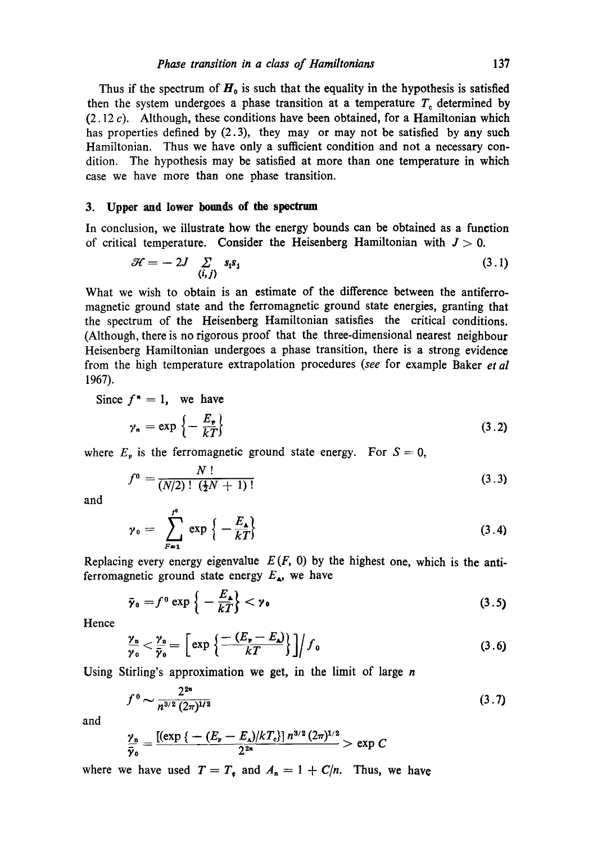Thus if the spectrum of  $H_0$  is such that the equality in the hypothesis is satisfied then the system undergoes a phase transition at a temperature  $T<sub>c</sub>$  determined by  $(2.12 c)$ . Although, these conditions have been obtained, for a Hamiltonian which has properties defined by (2.3), they may or may not be satisfied by any such Hamiltonian. Thus we have only a sufficient condition and not a necessary condition. The hypothesis may be satisfied at more than one temperature in which case we have more than one phase transition.

### **3. Upper and lower bounds of the spectrum**

In conclusion, we illustrate how the energy bounds can be obtained as a function of critical temperature. Consider the Heisenberg Hamiltonian with  $J > 0$ .

$$
\mathcal{H} = -2J \sum_{\langle i,j \rangle} s_i s_j \tag{3.1}
$$

What we wish to obtain is an estimate of the difference between the antiferromagnetic ground state and the ferromagnetic ground state energies, granting that the spectrum of the Heisenberg Hamiltonian satisfies the critical conditions. (Although, there is no rigorous proof that the three-dimensional nearest neighbour Heisenberg Hamiltonian undergoes a phase transition, there is a strong evidence from the high temperature extrapolation procedures *(see* for example Baker *et al*  1967).

Since  $f^* = 1$ , we have

$$
\gamma_n = \exp\left\{-\frac{E_r}{kT}\right\} \tag{3.2}
$$

where  $E_r$  is the ferromagnetic ground state energy. For  $S = 0$ ,

$$
f^0 = \frac{N!}{(N/2)!\,\left(\frac{1}{2}N+1\right)!} \tag{3.3}
$$

and

$$
\gamma_0 = \sum_{F=1}^{f^0} \exp \left\{-\frac{E_{\lambda}}{kT}\right\} \tag{3.4}
$$

Replacing every energy eigenvalue  $E(F, 0)$  by the highest one, which is the antiferromagnetic ground state energy  $E_{\mathbf{A}}$ , we have

$$
\bar{\gamma}_0 = f^0 \exp\left\{-\frac{E_\bullet}{kT}\right\} < \gamma_0 \tag{3.5}
$$

Hence

$$
\frac{\gamma_n}{\gamma_0} < \frac{\gamma_0}{\bar{\gamma}_0} = \left[ \exp\left\{ \frac{-\left(E_\mathbf{r} - E_\mathbf{u}\right)}{k} \right\} \right] / f_0 \tag{3.6}
$$

Using Stirling's approximation we get, in the limit of large  $n$ 

$$
f^0 \sim \frac{2^{2n}}{n^{3/2} (2\pi)^{1/2}} \tag{3.7}
$$

and

$$
\frac{\gamma_n}{\bar{\gamma}_0} = \frac{[(\exp\{-(E_x - E_{\lambda})/kT_c\}]n^{3/2}(2\pi)^{1/2}}{2^{2n}} > \exp C
$$

where we have used  $T=T_e$  and  $A_n = 1 + C/n$ . Thus, we have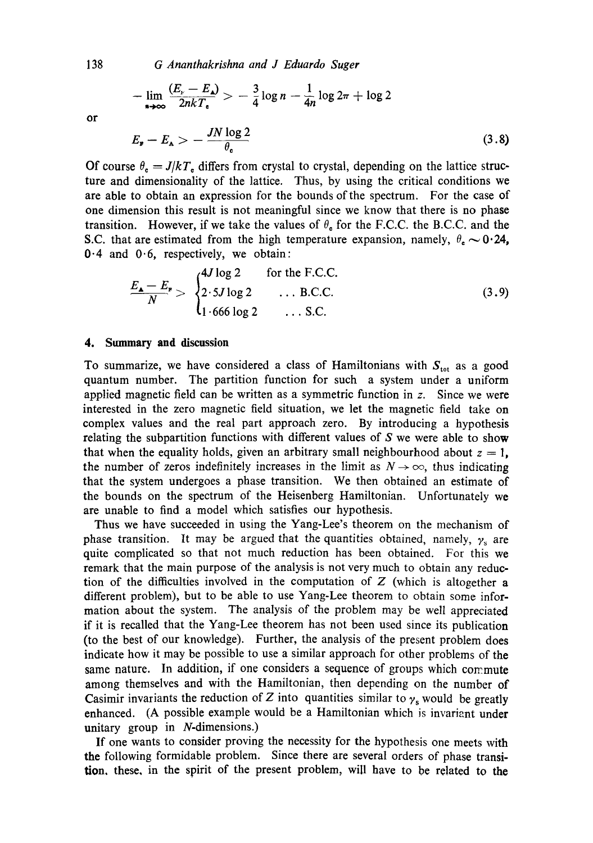*G Ananthakrishna and J Eduardo Suger* 

$$
-\lim_{n\to\infty}\frac{(E_{\nu}-E_{\lambda})}{2nkT_{\epsilon}}>-\frac{3}{4}\log n-\frac{1}{4n}\log 2\pi+\log 2
$$
  

$$
E_{\nu}-E_{\lambda}>-\frac{JN\log 2}{\theta}
$$
 (3.8)

or

Of course 
$$
\theta_c = J/kT_c
$$
 differs from crystal to crystal, depending on the lattice structure and dimensionality of the lattice. Thus, by using the critical conditions we are able to obtain an expression for the bounds of the spectrum. For the case of one dimension this result is not meaningful since we know that there is no phase transition. However, if we take the values of  $\theta_c$  for the F.C.C. the B.C.C. and the S.C. that are estimated from the high temperature expansion, namely,  $\theta_c \sim 0.24$ , 0.4 and 0.6, respectively, we obtain:

$$
\frac{E_{\mathbf{A}} - E_{\mathbf{F}}}{N} > \begin{cases} 4J \log 2 & \text{for the F.C.C.} \\ 2 \cdot 5J \log 2 & \dots \text{ B.C.C.} \\ 1 \cdot 666 \log 2 & \dots \text{ S.C.} \end{cases}
$$
(3.9)

#### **4. Summary and discussion**

To summarize, we have considered a class of Hamiltonians with  $S<sub>tot</sub>$  as a good quantum number. The partition function for such a system under a uniform applied magnetic field can be written as a symmetric function in z. Since we were interested in the zero magnetic field situation, we let the magnetic field take on complex values and the real part approach zero. By introducing a hypothesis relating the subpartition functions with different values of  $S$  we were able to show that when the equality holds, given an arbitrary small neighbourhood about  $z = 1$ , the number of zeros indefinitely increases in the limit as  $N \to \infty$ , thus indicating that the system undergoes a phase transition. We then obtained an estimate of the bounds on the spectrum of the Heisenberg Hamiltonian. Unfortunately we are unable to find a model which satisfies our hypothesis.

Thus we have succeeded in using the Yang-Lee's theorem on the mechanism of phase transition. It may be argued that the quantities obtained, namely,  $\gamma_s$  are quite complicated so that not much reduction has been obtained. For this we remark that the main purpose of the analysis is not very much to obtain any reduction of the difficulties involved in the computation of  $Z$  (which is altogether a different problem), but to be able to use Yang-Lee theorem to obtain some information about the system. The analysis of the problem may be well appreciated if it is recalled that the Yang-Lee theorem has not been used since its publication (to the best of our knowledge). Further, the analysis of the present problem does indicate how it may be possible to use a similar approach for other problems of the same nature. In addition, if one considers a sequence of groups which commute among themselves and with the Hamiltonian, then depending on the number of Casimir invariants the reduction of Z into quantities similar to  $\gamma_s$  would be greatly enhanced. (A possible example would be a Hamiltonian which is invariant under unitary group in N-dimensions.)

If one wants to consider proving the necessity for the hypothesis one meets with the following formidable problem. Since there are several orders of phase transition, these, in the spirit of the present problem, will have to be related to the

138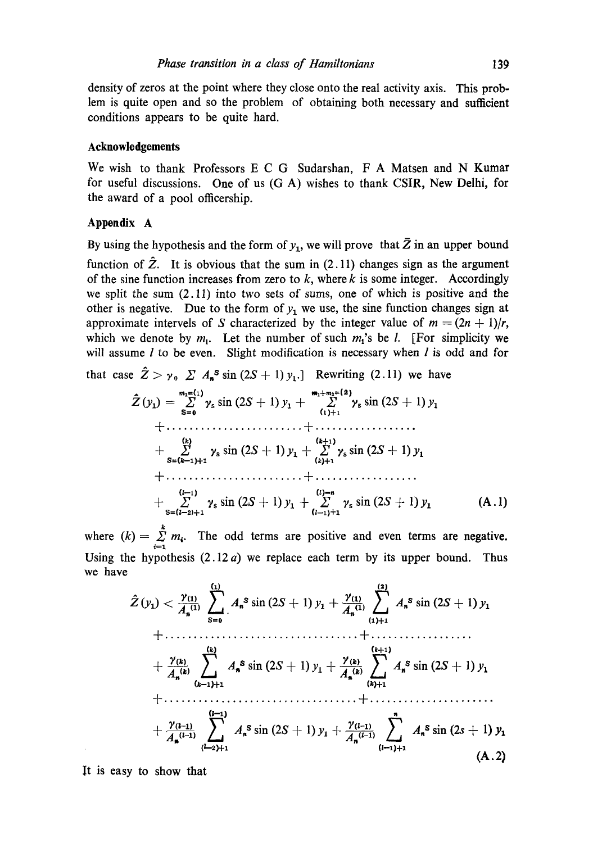density of zeros at the point where they close onto the real activity axis. This problem is quite open and so the problem of obtaining both necessary and sufficient conditions appears to be quite hard.

### **Acknowledgements**

We wish to thank Professors E C G Sudarshan, F A Matsen and N Kumar for useful discussions. One of us (G A) wishes to thank CSIR, New Delhi, for the award of a pool officership.

## **Appendix A**

By using the hypothesis and the form of  $y_1$ , we will prove that  $\bar{Z}$  in an upper bound function of  $\ddot{Z}$ . It is obvious that the sum in (2.11) changes sign as the argument of the sine function increases from zero to  $k$ , where  $k$  is some integer. Accordingly we split the sum (2.11) into two sets of sums, one of which is positive and the other is negative. Due to the form of  $y_1$  we use, the sine function changes sign at approximate intervels of S characterized by the integer value of  $m = (2n + 1)/r$ , which we denote by  $m_1$ . Let the number of such  $m_1$ 's be *l*. [For simplicity we will assume  $l$  to be even. Slight modification is necessary when  $l$  is odd and for

that case  $\hat{Z} > y_0 \sum A_n^s \sin(2S+1) y_1$ .] Rewriting (2.11) we have

rex=(1) m~+m2= (2) Z, (YO = I ~,~ sin (2S + 1) y~ + Z' ~,~ sin (2S + 1) y~ S=o (~)+t + ........................ + .................. (~) (~+:) + 27 ~'ssin(2S+l) Y~+ 27 ~,ssin(2S+l) yl s=(~-i)+i (k)+~ --~ ........................ -~- .................. (I--\*) (0--" + ~' ~'ssin(2S+l) Y~-]- X ~,~sin(2S-J-1) Y~ (A.1) s=(~-2)+i (t-1)+x

where  $(k) = \sum_{i=1}^{n} m_i$ . The odd terms are positive and even terms are negative. Using the hypothesis  $(2.12a)$  we replace each term by its upper bound. Thus we have

$$
\hat{Z}(y_1) < \frac{\gamma_{(1)}}{A_n^{(1)}} \sum_{S=0}^{\binom{1}{2}} A_n^S \sin (2S+1) y_1 + \frac{\gamma_{(1)}}{A_n^{(1)}} \sum_{(1)+1}^{\binom{2}{2}} A_n^S \sin (2S+1) y_1
$$
  
+  $\cdots$   
+  $\frac{\gamma_{(k)}}{A_n^{(k)}} \sum_{(k-1)+1}^{\binom{k}{2}} A_n^S \sin (2S+1) y_1 + \frac{\gamma_{(k)}}{A_n^{(k)}} \sum_{(k)+1}^{\binom{k+1}{2}} A_n^S \sin (2S+1) y_1$   
+  $\cdots$   
+  $\cdots$   
+  $\frac{\gamma_{(l-1)}}{A_n^{(l-1)}} \sum_{(l-2)+1}^{\binom{l-1}{2}} A_n^S \sin (2S+1) y_1 + \frac{\gamma_{(l-1)}}{A_n^{(l-1)}} \sum_{(l-1)+1}^n A_n^S \sin (2S+1) y_1$   
(A.2)

It is easy to show that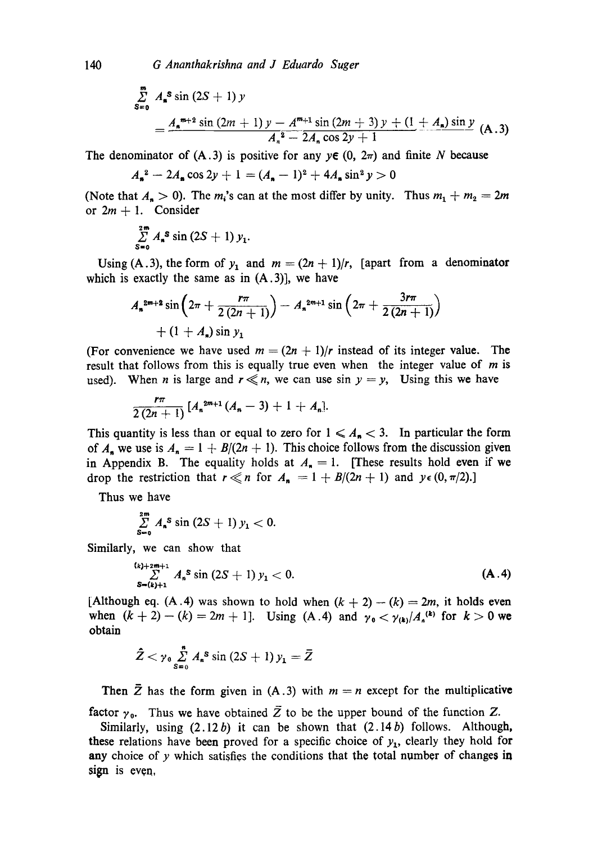$$
\sum_{s=0}^{m} A_{s}^{s} \sin (2S + 1) y
$$
\n
$$
= \frac{A_{s}^{m+2} \sin (2m + 1) y - A^{m+1} \sin (2m + 3) y + (1 + A_{s}) \sin y}{A_{s}^{2} - 2A_{s} \cos 2y + 1}
$$
\n(A.3)

The denominator of  $(A.3)$  is positive for any  $y \in (0, 2\pi)$  and finite N because

$$
A_{\mathbf{a}}^2 - 2A_{\mathbf{a}} \cos 2y + 1 = (A_{\mathbf{a}} - 1)^2 + 4A_{\mathbf{a}} \sin^2 y > 0
$$

(Note that  $A_n > 0$ ). The m<sub>i</sub>'s can at the most differ by unity. Thus  $m_1 + m_2 = 2m$ or  $2m + 1$ . Consider

$$
\sum_{S=0}^{2m} A_{\mathbf{a}}^S \sin(2S+1) y_1.
$$

Using (A.3), the form of  $y_1$  and  $m = (2n + 1)/r$ , [apart from a denominator which is exactly the same as in  $(A.3)$ ], we have

$$
A_n^{2m+2} \sin \left(2\pi + \frac{r\pi}{2(2n+1)}\right) - A_n^{2m+1} \sin \left(2\pi + \frac{3r\pi}{2(2n+1)}\right) + (1 + A_n) \sin y_1
$$

(For convenience we have used  $m = (2n + 1)/r$  instead of its integer value. The result that follows from this is equally true even when the integer value of  $m$  is used). When *n* is large and  $r \ll n$ , we can use sin  $y = y$ , Using this we have

$$
\frac{r\pi}{2(2n+1)}\left[A_n^{2m+1}(A_n-3)+1+A_n\right].
$$

This quantity is less than or equal to zero for  $1 \leq A_n < 3$ . In particular the form of  $A_n$  we use is  $A_n = 1 + B/(2n + 1)$ . This choice follows from the discussion given in Appendix B. The equality holds at  $A_n = 1$ . [These results hold even if we drop the restriction that  $r \ll n$  for  $A_n = 1 + B/(2n + 1)$  and  $y \in (0, \pi/2)$ .]

Thus we have

$$
\sum_{S=0}^{2m} A_{n}^{S} \sin (2S+1) y_{1} < 0.
$$

Similarly, we can show that

$$
\sum_{\substack{k=1\\ \mathbf{S}=(k)+1}}^{(k)+2m+1} A_n^S \sin(2S+1) y_1 < 0. \tag{A.4}
$$

[Although eq. (A.4) was shown to hold when  $(k + 2) - (k) = 2m$ , it holds even when  $(k + 2) - (k) = 2m + 1$ . Using (A .4) and  $\gamma_0 < \gamma_{(k)}/A_n^{(k)}$  for  $k > 0$  we obtain

$$
\hat{Z} < \gamma_0 \sum_{s=0}^n A_s^s \sin(2S+1) y_1 = \bar{Z}
$$

Then  $\bar{Z}$  has the form given in (A.3) with  $m = n$  except for the multiplicative factor  $\gamma_0$ . Thus we have obtained  $\overline{Z}$  to be the upper bound of the function Z.

Similarly, using  $(2.12b)$  it can be shown that  $(2.14b)$  follows. Although, these relations have been proved for a specific choice of  $y_1$ , clearly they hold for **any** choice of y which satisfies the conditions that the total number of changes in sign is even,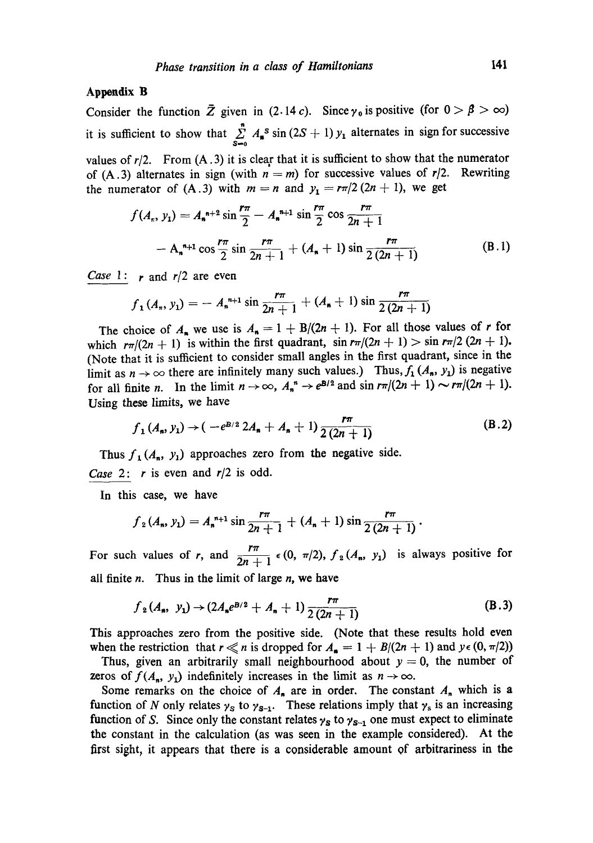# **Appendix B**

Consider the function  $\bar{Z}$  given in (2.14 c). Since  $\gamma_0$  is positive (for  $0 > \beta > \infty$ ) it is sufficient to show that  $\sum_{s=0} A_s$  sin  $(2S + 1) y_1$  alternates in sign for successive values of  $r/2$ . From  $(A.3)$  it is clear that it is sufficient to show that the numerator of (A.3) alternates in sign (with  $n = m$ ) for successive values of  $r/2$ . Rewriting the numerator of  $(A.3)$  with  $m = n$  and  $y_1 = r\pi/2 (2n + 1)$ , we get

$$
f(A_n, y_1) = A_n^{n+2} \sin \frac{r\pi}{2} - A_n^{n+1} \sin \frac{r\pi}{2} \cos \frac{r\pi}{2n+1}
$$
  
- A\_n^{n+1} \cos \frac{r\pi}{2} \sin \frac{r\pi}{2n+1} + (A\_n + 1) \sin \frac{r\pi}{2(2n+1)} (B.1)

*Case* 1:  $r$  and  $r/2$  are even

$$
f_1(A_n, y_1) = -A_n^{n+1} \sin \frac{r\pi}{2n+1} + (A_n + 1) \sin \frac{r\pi}{2(2n+1)}
$$

The choice of  $A_n$  we use is  $A_n = 1 + B/(2n + 1)$ . For all those values of r for which  $r\pi/(2n + 1)$  is within the first quadrant,  $\sin r\pi/(2n + 1) > \sin r\pi/2$  (2n + 1). (Note that it is sufficient to consider small angles in the first quadrant, since in the limit as  $n \to \infty$  there are infinitely many such values.) Thus,  $f_1(A_n, y_1)$  is negative for all finite *n*. In the limit  $n \to \infty$ ,  $A_n^* \to e^{B/2}$  and sin  $r\pi/(2n + 1) \sim r\pi/(2n + 1)$ . Using these limits, we have

$$
f_1(A_n, y_1) \to (-e^{B/2} 2A_n + A_n + 1) \frac{r\pi}{2(2n+1)}
$$
 (B.2)

Thus  $f_1(A_n, y_1)$  approaches zero from the negative side. *Case* 2: r is even and *r]2* is odd.

In this case, we have

$$
f_2(A_n, y_1) = A_n^{n+1} \sin \frac{r\pi}{2n+1} + (A_n + 1) \sin \frac{r\pi}{2(2n+1)}
$$
.

For such values of r, and  $\frac{1}{2n+1} \epsilon (0, \pi/2)$ ,  $f_2(A_n, y_1)$  is always positive for all finite  $n$ . Thus in the limit of large  $n$ , we have

$$
f_2(A_n, y_1) \rightarrow (2A_n e^{B/2} + A_n + 1) \frac{r\pi}{2(2n+1)}
$$
 (B.3)

This approaches zero from the positive side. (Note that these results hold even when the restriction that  $r \ll n$  is dropped for  $A_n = 1 + B/(2n + 1)$  and  $y \in (0, \pi/2)$ )

Thus, given an arbitrarily small neighbourhood about  $y = 0$ , the number of zeros of  $f(A_n, y_1)$  indefinitely increases in the limit as  $n \to \infty$ .

Some remarks on the choice of  $A_n$  are in order. The constant  $A_n$  which is a function of N only relates  $\gamma_s$  to  $\gamma_{s-1}$ . These relations imply that  $\gamma_s$  is an increasing function of S. Since only the constant relates  $\gamma_s$  to  $\gamma_{s-1}$  one must expect to eliminate the constant in the calculation (as was seen in the example considered). At the first sight, it appears that there is a considerable amount of arbitrariness in the